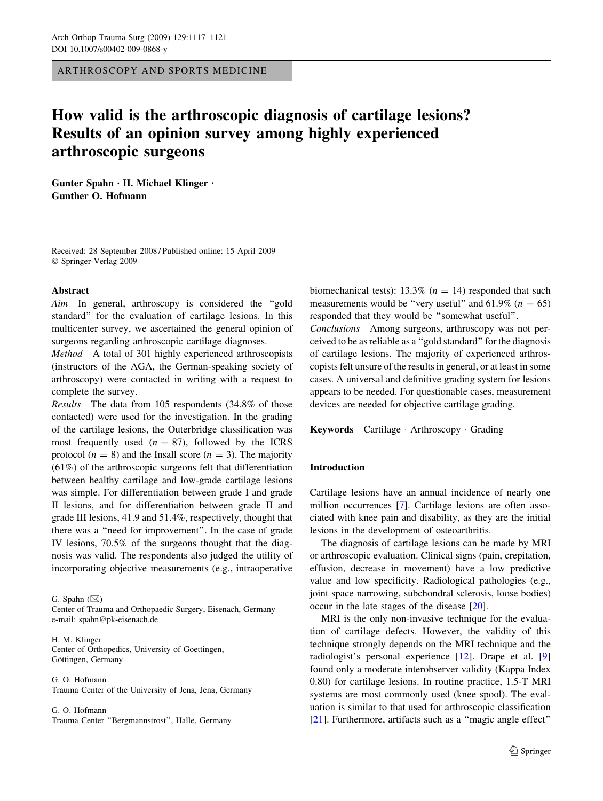ARTHROSCOPY AND SPORTS MEDICINE

# How valid is the arthroscopic diagnosis of cartilage lesions? Results of an opinion survey among highly experienced arthroscopic surgeons

Gunter Spahn  $\cdot$  H. Michael Klinger  $\cdot$ Gunther O. Hofmann

Received: 28 September 2008 / Published online: 15 April 2009 Springer-Verlag 2009

#### Abstract

Aim In general, arthroscopy is considered the "gold standard'' for the evaluation of cartilage lesions. In this multicenter survey, we ascertained the general opinion of surgeons regarding arthroscopic cartilage diagnoses.

Method A total of 301 highly experienced arthroscopists (instructors of the AGA, the German-speaking society of arthroscopy) were contacted in writing with a request to complete the survey.

Results The data from 105 respondents (34.8% of those contacted) were used for the investigation. In the grading of the cartilage lesions, the Outerbridge classification was most frequently used  $(n = 87)$ , followed by the ICRS protocol ( $n = 8$ ) and the Insall score ( $n = 3$ ). The majority (61%) of the arthroscopic surgeons felt that differentiation between healthy cartilage and low-grade cartilage lesions was simple. For differentiation between grade I and grade II lesions, and for differentiation between grade II and grade III lesions, 41.9 and 51.4%, respectively, thought that there was a ''need for improvement''. In the case of grade IV lesions, 70.5% of the surgeons thought that the diagnosis was valid. The respondents also judged the utility of incorporating objective measurements (e.g., intraoperative

G. Spahn  $(\boxtimes)$ 

Center of Trauma and Orthopaedic Surgery, Eisenach, Germany e-mail: spahn@pk-eisenach.de

H. M. Klinger Center of Orthopedics, University of Goettingen, Göttingen, Germany

G. O. Hofmann Trauma Center of the University of Jena, Jena, Germany

G. O. Hofmann Trauma Center ''Bergmannstrost'', Halle, Germany biomechanical tests): 13.3% ( $n = 14$ ) responded that such measurements would be "very useful" and  $61.9\%$  ( $n = 65$ ) responded that they would be ''somewhat useful''.

Conclusions Among surgeons, arthroscopy was not perceived to be as reliable as a ''gold standard'' for the diagnosis of cartilage lesions. The majority of experienced arthroscopists felt unsure of the results in general, or at least in some cases. A universal and definitive grading system for lesions appears to be needed. For questionable cases, measurement devices are needed for objective cartilage grading.

Keywords Cartilage Arthroscopy Grading

## Introduction

Cartilage lesions have an annual incidence of nearly one million occurrences [[7\]](#page-4-0). Cartilage lesions are often associated with knee pain and disability, as they are the initial lesions in the development of osteoarthritis.

The diagnosis of cartilage lesions can be made by MRI or arthroscopic evaluation. Clinical signs (pain, crepitation, effusion, decrease in movement) have a low predictive value and low specificity. Radiological pathologies (e.g., joint space narrowing, subchondral sclerosis, loose bodies) occur in the late stages of the disease [[20\]](#page-4-0).

MRI is the only non-invasive technique for the evaluation of cartilage defects. However, the validity of this technique strongly depends on the MRI technique and the radiologist's personal experience [\[12](#page-4-0)]. Drape et al. [[9\]](#page-4-0) found only a moderate interobserver validity (Kappa Index 0.80) for cartilage lesions. In routine practice, 1.5-T MRI systems are most commonly used (knee spool). The evaluation is similar to that used for arthroscopic classification [\[21](#page-4-0)]. Furthermore, artifacts such as a "magic angle effect"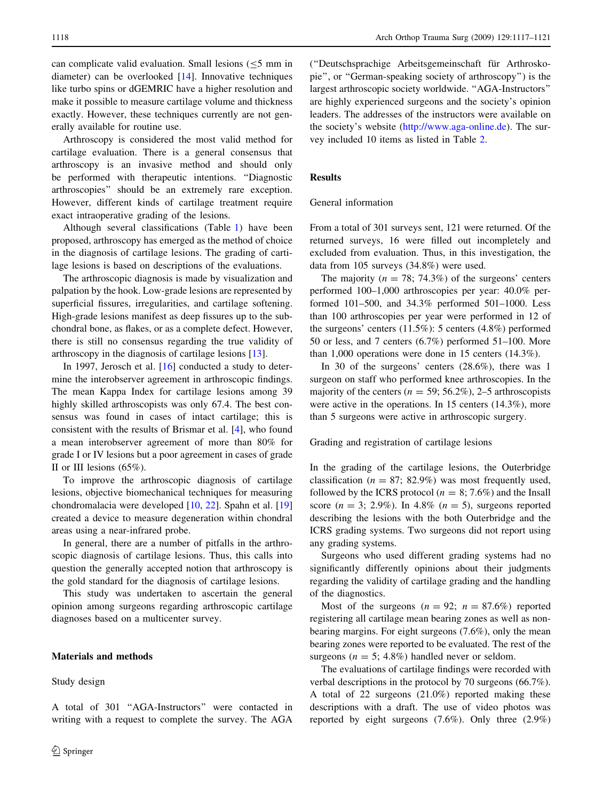can complicate valid evaluation. Small lesions  $(< 5$  mm in diameter) can be overlooked [[14\]](#page-4-0). Innovative techniques like turbo spins or dGEMRIC have a higher resolution and make it possible to measure cartilage volume and thickness exactly. However, these techniques currently are not generally available for routine use.

Arthroscopy is considered the most valid method for cartilage evaluation. There is a general consensus that arthroscopy is an invasive method and should only be performed with therapeutic intentions. ''Diagnostic arthroscopies'' should be an extremely rare exception. However, different kinds of cartilage treatment require exact intraoperative grading of the lesions.

Although several classifications (Table [1](#page-2-0)) have been proposed, arthroscopy has emerged as the method of choice in the diagnosis of cartilage lesions. The grading of cartilage lesions is based on descriptions of the evaluations.

The arthroscopic diagnosis is made by visualization and palpation by the hook. Low-grade lesions are represented by superficial fissures, irregularities, and cartilage softening. High-grade lesions manifest as deep fissures up to the subchondral bone, as flakes, or as a complete defect. However, there is still no consensus regarding the true validity of arthroscopy in the diagnosis of cartilage lesions [[13\]](#page-4-0).

In 1997, Jerosch et al. [\[16](#page-4-0)] conducted a study to determine the interobserver agreement in arthroscopic findings. The mean Kappa Index for cartilage lesions among 39 highly skilled arthroscopists was only 67.4. The best consensus was found in cases of intact cartilage; this is consistent with the results of Brismar et al. [[4\]](#page-4-0), who found a mean interobserver agreement of more than 80% for grade I or IV lesions but a poor agreement in cases of grade II or III lesions (65%).

To improve the arthroscopic diagnosis of cartilage lesions, objective biomechanical techniques for measuring chondromalacia were developed [[10,](#page-4-0) [22](#page-4-0)]. Spahn et al. [[19\]](#page-4-0) created a device to measure degeneration within chondral areas using a near-infrared probe.

In general, there are a number of pitfalls in the arthroscopic diagnosis of cartilage lesions. Thus, this calls into question the generally accepted notion that arthroscopy is the gold standard for the diagnosis of cartilage lesions.

This study was undertaken to ascertain the general opinion among surgeons regarding arthroscopic cartilage diagnoses based on a multicenter survey.

# Materials and methods

Study design

(''Deutschsprachige Arbeitsgemeinschaft fu¨r Arthroskopie'', or ''German-speaking society of arthroscopy'') is the largest arthroscopic society worldwide. ''AGA-Instructors'' are highly experienced surgeons and the society's opinion leaders. The addresses of the instructors were available on the society's website [\(http://www.aga-online.de](http://www.aga-online.de)). The survey included 10 items as listed in Table [2](#page-3-0).

# Results

### General information

From a total of 301 surveys sent, 121 were returned. Of the returned surveys, 16 were filled out incompletely and excluded from evaluation. Thus, in this investigation, the data from 105 surveys (34.8%) were used.

The majority ( $n = 78$ ; 74.3%) of the surgeons' centers performed 100–1,000 arthroscopies per year: 40.0% performed 101–500, and 34.3% performed 501–1000. Less than 100 arthroscopies per year were performed in 12 of the surgeons' centers (11.5%): 5 centers (4.8%) performed 50 or less, and 7 centers (6.7%) performed 51–100. More than 1,000 operations were done in 15 centers (14.3%).

In 30 of the surgeons' centers (28.6%), there was 1 surgeon on staff who performed knee arthroscopies. In the majority of the centers ( $n = 59$ ; 56.2%), 2–5 arthroscopists were active in the operations. In 15 centers (14.3%), more than 5 surgeons were active in arthroscopic surgery.

Grading and registration of cartilage lesions

In the grading of the cartilage lesions, the Outerbridge classification ( $n = 87$ ; 82.9%) was most frequently used, followed by the ICRS protocol ( $n = 8$ ; 7.6%) and the Insall score ( $n = 3$ ; 2.9%). In 4.8% ( $n = 5$ ), surgeons reported describing the lesions with the both Outerbridge and the ICRS grading systems. Two surgeons did not report using any grading systems.

Surgeons who used different grading systems had no significantly differently opinions about their judgments regarding the validity of cartilage grading and the handling of the diagnostics.

Most of the surgeons  $(n = 92; n = 87.6%)$  reported registering all cartilage mean bearing zones as well as nonbearing margins. For eight surgeons (7.6%), only the mean bearing zones were reported to be evaluated. The rest of the surgeons ( $n = 5$ ; 4.8%) handled never or seldom.

The evaluations of cartilage findings were recorded with verbal descriptions in the protocol by 70 surgeons (66.7%). A total of 22 surgeons (21.0%) reported making these descriptions with a draft. The use of video photos was reported by eight surgeons (7.6%). Only three (2.9%)

A total of 301 ''AGA-Instructors'' were contacted in writing with a request to complete the survey. The AGA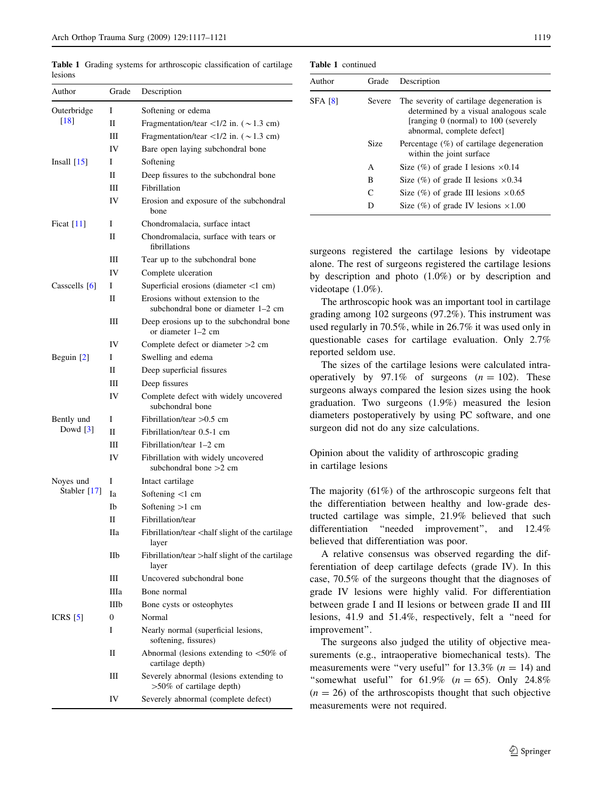Author Grade Description Outerbridge [\[18\]](#page-4-0) I Softening or edema II Fragmentation/tear  $\langle 1/2 \text{ in. } (\sim 1.3 \text{ cm})$ III Fragmentation/tear  $\langle 1/2 \text{ in. } (\sim 1.3 \text{ cm})$ IV Bare open laying subchondral bone Insall [[15](#page-4-0)] I Softening II Deep fissures to the subchondral bone III Fibrillation IV Erosion and exposure of the subchondral bone Ficat [[11](#page-4-0)] I Chondromalacia, surface intact II Chondromalacia, surface with tears or fibrillations III Tear up to the subchondral bone IV Complete ulceration Casscells  $[6]$  $[6]$  I Superficial erosions (diameter <1 cm)

<span id="page-2-0"></span>Table 1 Grading systems for arthroscopic classification of cartilage lesions

| <b>Table 1</b> continued |
|--------------------------|
|                          |

| Author         | Grade  | Description                                                                                                                                              |  |
|----------------|--------|----------------------------------------------------------------------------------------------------------------------------------------------------------|--|
| <b>SFA [8]</b> | Severe | The severity of cartilage degeneration is<br>determined by a visual analogous scale<br>[ranging 0 (normal) to 100 (severely<br>abnormal, complete defect |  |
|                | Size   | Percentage $(\%)$ of cartilage degeneration<br>within the joint surface                                                                                  |  |
|                | A      | Size $(\%)$ of grade I lesions $\times 0.14$                                                                                                             |  |
|                | B      | Size $(\%)$ of grade II lesions $\times 0.34$                                                                                                            |  |
|                | C      | Size $(\%)$ of grade III lesions $\times 0.65$                                                                                                           |  |
|                | D      | Size $(\%)$ of grade IV lesions $\times 1.00$                                                                                                            |  |
|                |        |                                                                                                                                                          |  |

surgeons registered the cartilage lesions by videotape alone. The rest of surgeons registered the cartilage lesions by description and photo (1.0%) or by description and videotape (1.0%).

The arthroscopic hook was an important tool in cartilage grading among 102 surgeons (97.2%). This instrument was used regularly in 70.5%, while in 26.7% it was used only in questionable cases for cartilage evaluation. Only 2.7% reported seldom use.

The sizes of the cartilage lesions were calculated intraoperatively by 97.1% of surgeons  $(n = 102)$ . These surgeons always compared the lesion sizes using the hook graduation. Two surgeons (1.9%) measured the lesion diameters postoperatively by using PC software, and one surgeon did not do any size calculations.

Opinion about the validity of arthroscopic grading in cartilage lesions

The majority (61%) of the arthroscopic surgeons felt that the differentiation between healthy and low-grade destructed cartilage was simple, 21.9% believed that such differentiation ''needed improvement'', and 12.4% believed that differentiation was poor.

A relative consensus was observed regarding the differentiation of deep cartilage defects (grade IV). In this case, 70.5% of the surgeons thought that the diagnoses of grade IV lesions were highly valid. For differentiation between grade I and II lesions or between grade II and III lesions, 41.9 and 51.4%, respectively, felt a ''need for improvement''.

The surgeons also judged the utility of objective measurements (e.g., intraoperative biomechanical tests). The measurements were "very useful" for  $13.3\%$  ( $n = 14$ ) and "somewhat useful" for  $61.9\%$  ( $n = 65$ ). Only 24.8%  $(n = 26)$  of the arthroscopists thought that such objective measurements were not required.

| Outerbridge            | I    | Softening or edema                                                          |
|------------------------|------|-----------------------------------------------------------------------------|
| $[18]$                 | П    | Fragmentation/tear <1/2 in. $({\sim}1.3$ cm)                                |
|                        | Ш    | Fragmentation/tear <1/2 in. $({\sim}1.3$ cm)                                |
|                        | IV   | Bare open laying subchondral bone                                           |
| Insall $[15]$          | Ι    | Softening                                                                   |
|                        | H    | Deep fissures to the subchondral bone                                       |
|                        | Ш    | Fibrillation                                                                |
|                        | IV   | Erosion and exposure of the subchondral<br>bone                             |
| Ficat $[11]$           | L    | Chondromalacia, surface intact                                              |
|                        | П    | Chondromalacia, surface with tears or<br>fibrillations                      |
|                        | Ш    | Tear up to the subchondral bone                                             |
|                        | IV   | Complete ulceration                                                         |
| Casscells [6]          | Ι    | Superficial erosions (diameter $\langle$ 1 cm)                              |
|                        | П    | Erosions without extension to the<br>subchondral bone or diameter 1–2 cm    |
|                        | Ш    | Deep erosions up to the subchondral bone<br>or diameter 1-2 cm              |
|                        | IV   | Complete defect or diameter $>2$ cm                                         |
| Beguin $[2]$           | L    | Swelling and edema                                                          |
|                        | П    | Deep superficial fissures                                                   |
|                        | Ш    | Deep fissures                                                               |
|                        | IV   | Complete defect with widely uncovered<br>subchondral bone                   |
| Bently und             | Ι    | Fibrillation/tear $>0.5$ cm                                                 |
| Dowd $\lceil 3 \rceil$ | П    | Fibrillation/tear 0.5-1 cm                                                  |
|                        | Ш    | Fibrillation/tear 1–2 cm                                                    |
|                        | IV   | Fibrillation with widely uncovered<br>subchondral bone $>2$ cm              |
| Noyes und              | I    | Intact cartilage                                                            |
| Stabler [17]           | Iа   | Softening $<1$ cm                                                           |
|                        | Ib   | Softening $>1$ cm                                                           |
|                        | H    | Fibrillation/tear                                                           |
|                        | Пa   | Fibrillation/tear <half cartilage<br="" of="" slight="" the="">layer</half> |
|                        | IIb  | Fibrillation/tear >half slight of the cartilage<br>layer                    |
|                        | Ш    | Uncovered subchondral bone                                                  |
|                        | Шa   | Bone normal                                                                 |
|                        | IIIb | Bone cysts or osteophytes                                                   |
| ICRS $[5]$             | 0    | Normal                                                                      |
|                        | Ι    | Nearly normal (superficial lesions,<br>softening, fissures)                 |
|                        | П    | Abnormal (lesions extending to $<$ 50% of<br>cartilage depth)               |
|                        | Ш    | Severely abnormal (lesions extending to<br>>50% of cartilage depth)         |
|                        | IV   | Severely abnormal (complete defect)                                         |
|                        |      |                                                                             |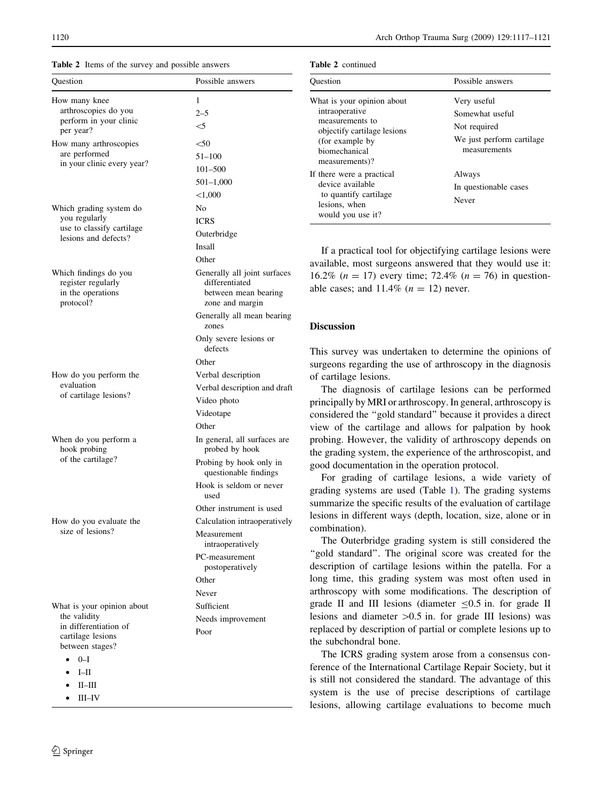Table 2 Items of the survey and possible answers

| Question                                                         | Possible answers                                                       |
|------------------------------------------------------------------|------------------------------------------------------------------------|
| How many knee                                                    | 1                                                                      |
| arthroscopies do you                                             | $2 - 5$                                                                |
| perform in your clinic<br>per year?                              | $<$ 5                                                                  |
| How many arthroscopies                                           | $50$                                                                   |
| are performed                                                    | $51 - 100$                                                             |
| in your clinic every year?                                       | 101-500                                                                |
|                                                                  | $501 - 1,000$                                                          |
|                                                                  | < 1,000                                                                |
| Which grading system do                                          | No                                                                     |
| you regularly                                                    | ICRS                                                                   |
| use to classify cartilage                                        | Outerbridge                                                            |
| lesions and defects?                                             | Insall                                                                 |
|                                                                  | Other                                                                  |
| Which findings do you<br>register regularly<br>in the operations | Generally all joint surfaces<br>differentiated<br>between mean bearing |
| protocol?                                                        | zone and margin                                                        |
|                                                                  | Generally all mean bearing<br>zones                                    |
|                                                                  | Only severe lesions or<br>defects                                      |
|                                                                  | Other                                                                  |
| How do you perform the                                           | Verbal description                                                     |
| evaluation                                                       | Verbal description and draft                                           |
| of cartilage lesions?                                            | Video photo                                                            |
|                                                                  | Videotape                                                              |
|                                                                  | Other                                                                  |
| When do you perform a<br>hook probing                            | In general, all surfaces are<br>probed by hook                         |
| of the cartilage?                                                | Probing by hook only in<br>questionable findings                       |
|                                                                  | Hook is seldom or never<br>used                                        |
|                                                                  | Other instrument is used                                               |
| How do you evaluate the                                          | Calculation intraoperatively                                           |
| size of lesions?                                                 | Measurement<br>intraoperatively                                        |
|                                                                  | PC-measurement<br>postoperatively                                      |
|                                                                  | Other                                                                  |
|                                                                  | Never                                                                  |
| What is your opinion about                                       | Sufficient                                                             |
| the validity                                                     | Needs improvement                                                      |
| in differentiation of<br>cartilage lesions                       | Poor                                                                   |
| between stages?                                                  |                                                                        |
| $0 - I$                                                          |                                                                        |
| I <sub>II</sub><br>$\bullet$                                     |                                                                        |
| $\bullet$ II-III                                                 |                                                                        |

- 
- III–IV

<span id="page-3-0"></span>

| 1120 | Arch Orthop Trauma Surg (2009) 129:1117-1121 |
|------|----------------------------------------------|
|------|----------------------------------------------|

|  | <b>Table 2</b> continued |
|--|--------------------------|
|  |                          |

| <b>Ouestion</b>                                                                                                                                       | Possible answers                                                                            |
|-------------------------------------------------------------------------------------------------------------------------------------------------------|---------------------------------------------------------------------------------------------|
| What is your opinion about<br>intraoperative<br>measurements to<br>objectify cartilage lesions<br>(for example by)<br>hiomechanical<br>measurements)? | Very useful<br>Somewhat useful<br>Not required<br>We just perform cartilage<br>measurements |
| If there were a practical<br>device available<br>to quantify cartilage<br>lesions, when<br>would you use it?                                          | Always<br>In questionable cases<br>Never                                                    |

If a practical tool for objectifying cartilage lesions were available, most surgeons answered that they would use it: 16.2% ( $n = 17$ ) every time; 72.4% ( $n = 76$ ) in questionable cases; and  $11.4\%$  ( $n = 12$ ) never.

# Discussion

This survey was undertaken to determine the opinions of surgeons regarding the use of arthroscopy in the diagnosis of cartilage lesions.

The diagnosis of cartilage lesions can be performed principally by MRI or arthroscopy. In general, arthroscopy is considered the ''gold standard'' because it provides a direct view of the cartilage and allows for palpation by hook probing. However, the validity of arthroscopy depends on the grading system, the experience of the arthroscopist, and good documentation in the operation protocol.

For grading of cartilage lesions, a wide variety of grading systems are used (Table [1\)](#page-2-0). The grading systems summarize the specific results of the evaluation of cartilage lesions in different ways (depth, location, size, alone or in combination).

The Outerbridge grading system is still considered the "gold standard". The original score was created for the description of cartilage lesions within the patella. For a long time, this grading system was most often used in arthroscopy with some modifications. The description of grade II and III lesions (diameter  $\leq 0.5$  in. for grade II lesions and diameter  $>0.5$  in. for grade III lesions) was replaced by description of partial or complete lesions up to the subchondral bone.

The ICRS grading system arose from a consensus conference of the International Cartilage Repair Society, but it is still not considered the standard. The advantage of this system is the use of precise descriptions of cartilage lesions, allowing cartilage evaluations to become much